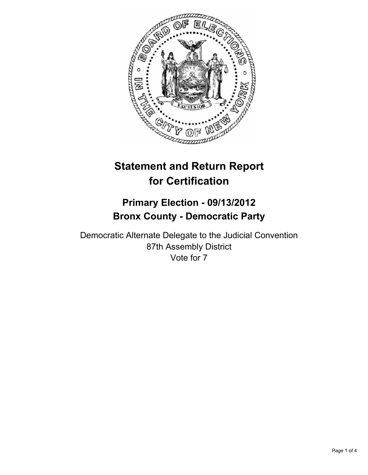

# **Statement and Return Report for Certification**

## **Primary Election - 09/13/2012 Bronx County - Democratic Party**

Democratic Alternate Delegate to the Judicial Convention 87th Assembly District Vote for 7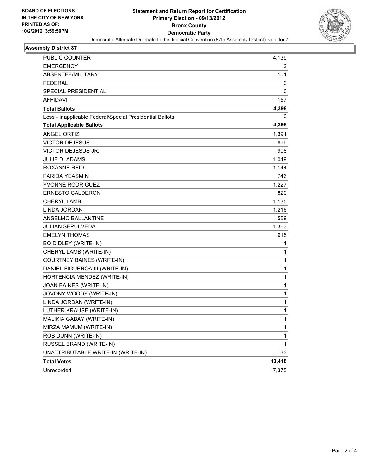

#### **Assembly District 87**

| PUBLIC COUNTER                                           | 4,139        |
|----------------------------------------------------------|--------------|
| <b>EMERGENCY</b>                                         | 2            |
| ABSENTEE/MILITARY                                        | 101          |
| <b>FEDERAL</b>                                           | 0            |
| SPECIAL PRESIDENTIAL                                     | 0            |
| <b>AFFIDAVIT</b>                                         | 157          |
| <b>Total Ballots</b>                                     | 4,399        |
| Less - Inapplicable Federal/Special Presidential Ballots | 0            |
| <b>Total Applicable Ballots</b>                          | 4,399        |
| ANGEL ORTIZ                                              | 1,391        |
| <b>VICTOR DEJESUS</b>                                    | 899          |
| VICTOR DEJESUS JR.                                       | 908          |
| JULIE D. ADAMS                                           | 1,049        |
| <b>ROXANNE REID</b>                                      | 1,144        |
| <b>FARIDA YEASMIN</b>                                    | 746          |
| YVONNE RODRIGUEZ                                         | 1,227        |
| <b>ERNESTO CALDERON</b>                                  | 820          |
| <b>CHERYL LAMB</b>                                       | 1,135        |
| LINDA JORDAN                                             | 1,216        |
| ANSELMO BALLANTINE                                       | 559          |
| <b>JULIAN SEPULVEDA</b>                                  | 1,363        |
| <b>EMELYN THOMAS</b>                                     | 915          |
| <b>BO DIDLEY (WRITE-IN)</b>                              | 1            |
| CHERYL LAMB (WRITE-IN)                                   | 1            |
| <b>COURTNEY BAINES (WRITE-IN)</b>                        | 1            |
| DANIEL FIGUEROA III (WRITE-IN)                           | $\mathbf{1}$ |
| HORTENCIA MENDEZ (WRITE-IN)                              | 1            |
| JOAN BAINES (WRITE-IN)                                   | 1            |
| JOVONY WOODY (WRITE-IN)                                  | $\mathbf{1}$ |
| LINDA JORDAN (WRITE-IN)                                  | 1            |
| LUTHER KRAUSE (WRITE-IN)                                 | 1            |
| MALIKIA GABAY (WRITE-IN)                                 | 1            |
| MIRZA MAMUM (WRITE-IN)                                   | 1            |
| ROB DUNN (WRITE-IN)                                      | 1            |
| RUSSEL BRAND (WRITE-IN)                                  | 1            |
| UNATTRIBUTABLE WRITE-IN (WRITE-IN)                       | 33           |
| <b>Total Votes</b>                                       | 13,418       |
| Unrecorded                                               | 17,375       |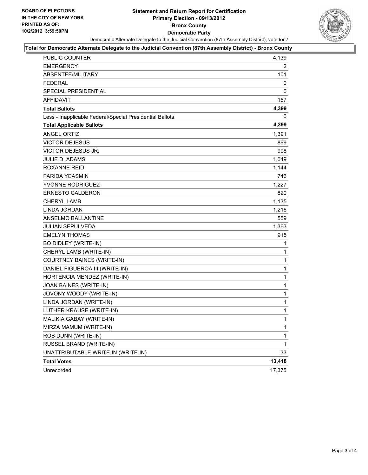#### **Statement and Return Report for Certification Primary Election - 09/13/2012 Bronx County Democratic Party** Democratic Alternate Delegate to the Judicial Convention (87th Assembly District), vote for 7



#### **Total for Democratic Alternate Delegate to the Judicial Convention (87th Assembly District) - Bronx County**

| PUBLIC COUNTER                                           | 4,139        |
|----------------------------------------------------------|--------------|
| <b>EMERGENCY</b>                                         | 2            |
| ABSENTEE/MILITARY                                        | 101          |
| <b>FEDERAL</b>                                           | 0            |
| SPECIAL PRESIDENTIAL                                     | 0            |
| <b>AFFIDAVIT</b>                                         | 157          |
| <b>Total Ballots</b>                                     | 4,399        |
| Less - Inapplicable Federal/Special Presidential Ballots | 0            |
| <b>Total Applicable Ballots</b>                          | 4,399        |
| ANGEL ORTIZ                                              | 1,391        |
| <b>VICTOR DEJESUS</b>                                    | 899          |
| <b>VICTOR DEJESUS JR.</b>                                | 908          |
| JULIE D. ADAMS                                           | 1,049        |
| ROXANNE REID                                             | 1,144        |
| <b>FARIDA YEASMIN</b>                                    | 746          |
| YVONNE RODRIGUEZ                                         | 1,227        |
| ERNESTO CALDERON                                         | 820          |
| <b>CHERYL LAMB</b>                                       | 1,135        |
| LINDA JORDAN                                             | 1,216        |
| ANSELMO BALLANTINE                                       | 559          |
| <b>JULIAN SEPULVEDA</b>                                  | 1,363        |
| <b>EMELYN THOMAS</b>                                     | 915          |
| BO DIDLEY (WRITE-IN)                                     | 1            |
| CHERYL LAMB (WRITE-IN)                                   | 1            |
| <b>COURTNEY BAINES (WRITE-IN)</b>                        | $\mathbf 1$  |
| DANIEL FIGUEROA III (WRITE-IN)                           | $\mathbf{1}$ |
| HORTENCIA MENDEZ (WRITE-IN)                              | $\mathbf 1$  |
| JOAN BAINES (WRITE-IN)                                   | $\mathbf 1$  |
| JOVONY WOODY (WRITE-IN)                                  | $\mathbf{1}$ |
| LINDA JORDAN (WRITE-IN)                                  | 1            |
| LUTHER KRAUSE (WRITE-IN)                                 | $\mathbf 1$  |
| MALIKIA GABAY (WRITE-IN)                                 | $\mathbf{1}$ |
| MIRZA MAMUM (WRITE-IN)                                   | 1            |
| ROB DUNN (WRITE-IN)                                      | $\mathbf 1$  |
| RUSSEL BRAND (WRITE-IN)                                  | $\mathbf{1}$ |
| UNATTRIBUTABLE WRITE-IN (WRITE-IN)                       | 33           |
| <b>Total Votes</b>                                       | 13,418       |
| Unrecorded                                               | 17,375       |